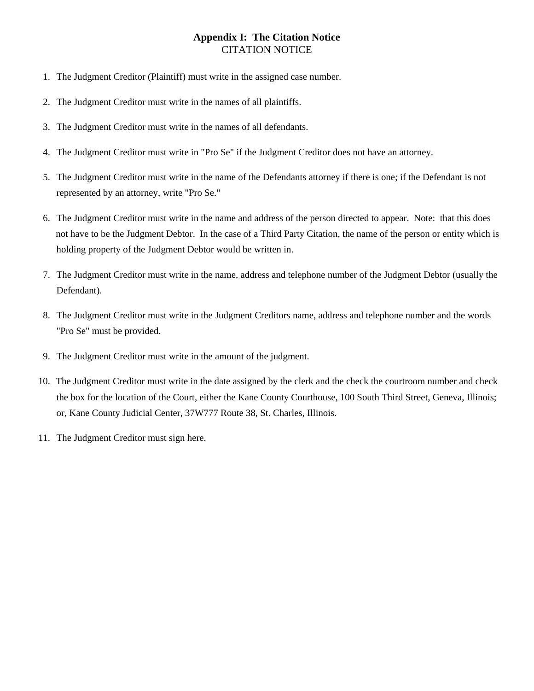## CITATION NOTICE **Appendix I: The Citation Notice**

- 1. The Judgment Creditor (Plaintiff) must write in the assigned case number.
- 2. The Judgment Creditor must write in the names of all plaintiffs.
- 3. The Judgment Creditor must write in the names of all defendants.
- 4. The Judgment Creditor must write in "Pro Se" if the Judgment Creditor does not have an attorney.
- 5. The Judgment Creditor must write in the name of the Defendants attorney if there is one; if the Defendant is not represented by an attorney, write "Pro Se."
- 6. The Judgment Creditor must write in the name and address of the person directed to appear. Note: that this does not have to be the Judgment Debtor. In the case of a Third Party Citation, the name of the person or entity which is holding property of the Judgment Debtor would be written in.
- 7. The Judgment Creditor must write in the name, address and telephone number of the Judgment Debtor (usually the Defendant).
- 8. The Judgment Creditor must write in the Judgment Creditors name, address and telephone number and the words "Pro Se" must be provided.
- 9. The Judgment Creditor must write in the amount of the judgment.
- 10. The Judgment Creditor must write in the date assigned by the clerk and the check the courtroom number and check the box for the location of the Court, either the Kane County Courthouse, 100 South Third Street, Geneva, Illinois; or, Kane County Judicial Center, 37W777 Route 38, St. Charles, Illinois.
- 11. The Judgment Creditor must sign here.